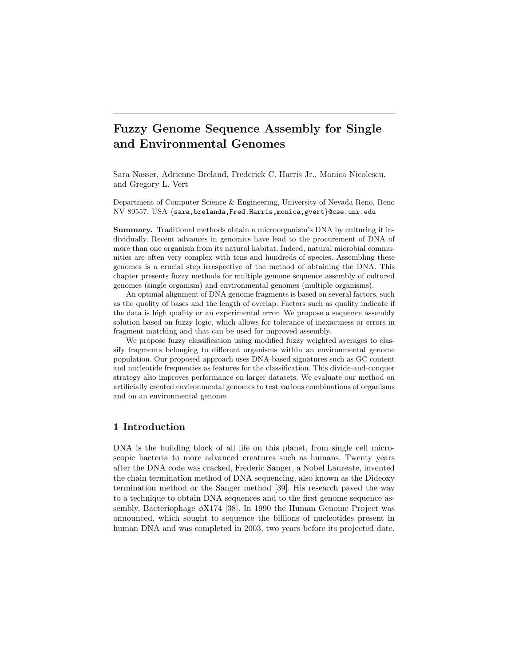# Fuzzy Genome Sequence Assembly for Single and Environmental Genomes

Sara Nasser, Adrienne Breland, Frederick C. Harris Jr., Monica Nicolescu, and Gregory L. Vert

Department of Computer Science & Engineering, University of Nevada Reno, Reno NV 89557, USA {sara,brelanda,Fred.Harris,monica,gvert}@cse.unr.edu

Summary. Traditional methods obtain a microorganism's DNA by culturing it individually. Recent advances in genomics have lead to the procurement of DNA of more than one organism from its natural habitat. Indeed, natural microbial communities are often very complex with tens and hundreds of species. Assembling these genomes is a crucial step irrespective of the method of obtaining the DNA. This chapter presents fuzzy methods for multiple genome sequence assembly of cultured genomes (single organism) and environmental genomes (multiple organisms).

An optimal alignment of DNA genome fragments is based on several factors, such as the quality of bases and the length of overlap. Factors such as quality indicate if the data is high quality or an experimental error. We propose a sequence assembly solution based on fuzzy logic, which allows for tolerance of inexactness or errors in fragment matching and that can be used for improved assembly.

We propose fuzzy classification using modified fuzzy weighted averages to classify fragments belonging to different organisms within an environmental genome population. Our proposed approach uses DNA-based signatures such as GC content and nucleotide frequencies as features for the classification. This divide-and-conquer strategy also improves performance on larger datasets. We evaluate our method on artificially created environmental genomes to test various combinations of organisms and on an environmental genome.

## 1 Introduction

DNA is the building block of all life on this planet, from single cell microscopic bacteria to more advanced creatures such as humans. Twenty years after the DNA code was cracked, Frederic Sanger, a Nobel Laureate, invented the chain termination method of DNA sequencing, also known as the Dideoxy termination method or the Sanger method [39]. His research paved the way to a technique to obtain DNA sequences and to the first genome sequence assembly, Bacteriophage  $\phi$ X174 [38]. In 1990 the Human Genome Project was announced, which sought to sequence the billions of nucleotides present in human DNA and was completed in 2003, two years before its projected date.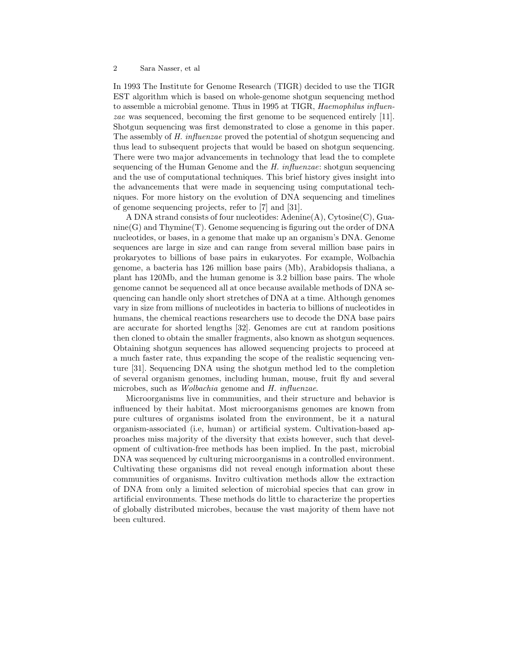In 1993 The Institute for Genome Research (TIGR) decided to use the TIGR EST algorithm which is based on whole-genome shotgun sequencing method to assemble a microbial genome. Thus in 1995 at TIGR, Haemophilus influenzae was sequenced, becoming the first genome to be sequenced entirely [11]. Shotgun sequencing was first demonstrated to close a genome in this paper. The assembly of H. influenzae proved the potential of shotgun sequencing and thus lead to subsequent projects that would be based on shotgun sequencing. There were two major advancements in technology that lead the to complete sequencing of the Human Genome and the H. influenzae: shotgun sequencing and the use of computational techniques. This brief history gives insight into the advancements that were made in sequencing using computational techniques. For more history on the evolution of DNA sequencing and timelines of genome sequencing projects, refer to [7] and [31].

A DNA strand consists of four nucleotides: Adenine(A), Cytosine(C), Gua $nine(G)$  and Thymine $(T)$ . Genome sequencing is figuring out the order of DNA nucleotides, or bases, in a genome that make up an organism's DNA. Genome sequences are large in size and can range from several million base pairs in prokaryotes to billions of base pairs in eukaryotes. For example, Wolbachia genome, a bacteria has 126 million base pairs (Mb), Arabidopsis thaliana, a plant has 120Mb, and the human genome is 3.2 billion base pairs. The whole genome cannot be sequenced all at once because available methods of DNA sequencing can handle only short stretches of DNA at a time. Although genomes vary in size from millions of nucleotides in bacteria to billions of nucleotides in humans, the chemical reactions researchers use to decode the DNA base pairs are accurate for shorted lengths [32]. Genomes are cut at random positions then cloned to obtain the smaller fragments, also known as shotgun sequences. Obtaining shotgun sequences has allowed sequencing projects to proceed at a much faster rate, thus expanding the scope of the realistic sequencing venture [31]. Sequencing DNA using the shotgun method led to the completion of several organism genomes, including human, mouse, fruit fly and several microbes, such as Wolbachia genome and H. influenzae.

Microorganisms live in communities, and their structure and behavior is influenced by their habitat. Most microorganisms genomes are known from pure cultures of organisms isolated from the environment, be it a natural organism-associated (i.e, human) or artificial system. Cultivation-based approaches miss majority of the diversity that exists however, such that development of cultivation-free methods has been implied. In the past, microbial DNA was sequenced by culturing microorganisms in a controlled environment. Cultivating these organisms did not reveal enough information about these communities of organisms. Invitro cultivation methods allow the extraction of DNA from only a limited selection of microbial species that can grow in artificial environments. These methods do little to characterize the properties of globally distributed microbes, because the vast majority of them have not been cultured.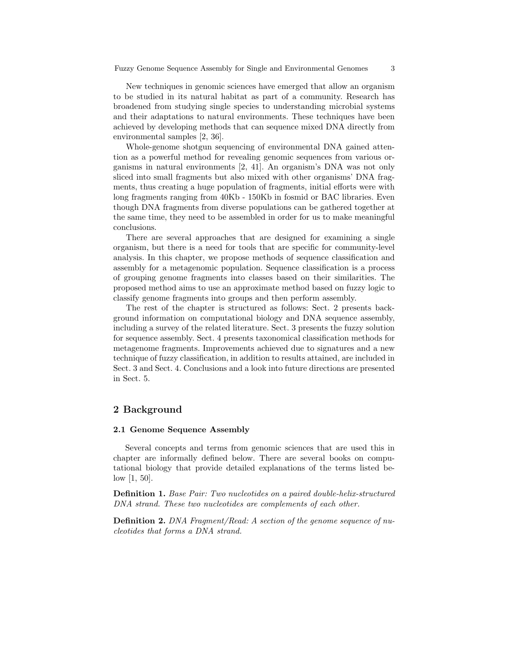New techniques in genomic sciences have emerged that allow an organism to be studied in its natural habitat as part of a community. Research has broadened from studying single species to understanding microbial systems and their adaptations to natural environments. These techniques have been achieved by developing methods that can sequence mixed DNA directly from environmental samples [2, 36].

Whole-genome shotgun sequencing of environmental DNA gained attention as a powerful method for revealing genomic sequences from various organisms in natural environments [2, 41]. An organism's DNA was not only sliced into small fragments but also mixed with other organisms' DNA fragments, thus creating a huge population of fragments, initial efforts were with long fragments ranging from 40Kb - 150Kb in fosmid or BAC libraries. Even though DNA fragments from diverse populations can be gathered together at the same time, they need to be assembled in order for us to make meaningful conclusions.

There are several approaches that are designed for examining a single organism, but there is a need for tools that are specific for community-level analysis. In this chapter, we propose methods of sequence classification and assembly for a metagenomic population. Sequence classification is a process of grouping genome fragments into classes based on their similarities. The proposed method aims to use an approximate method based on fuzzy logic to classify genome fragments into groups and then perform assembly.

The rest of the chapter is structured as follows: Sect. 2 presents background information on computational biology and DNA sequence assembly, including a survey of the related literature. Sect. 3 presents the fuzzy solution for sequence assembly. Sect. 4 presents taxonomical classification methods for metagenome fragments. Improvements achieved due to signatures and a new technique of fuzzy classification, in addition to results attained, are included in Sect. 3 and Sect. 4. Conclusions and a look into future directions are presented in Sect. 5.

## 2 Background

### 2.1 Genome Sequence Assembly

Several concepts and terms from genomic sciences that are used this in chapter are informally defined below. There are several books on computational biology that provide detailed explanations of the terms listed below [1, 50].

Definition 1. Base Pair: Two nucleotides on a paired double-helix-structured DNA strand. These two nucleotides are complements of each other.

Definition 2. DNA Fragment/Read: A section of the genome sequence of nucleotides that forms a DNA strand.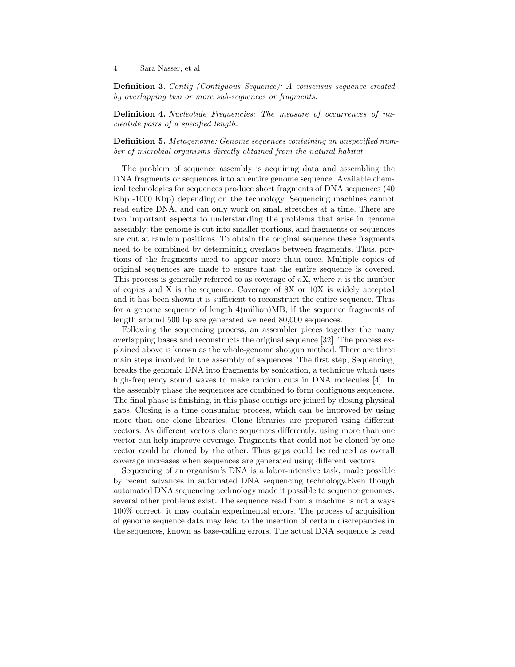Definition 3. Contig (Contiguous Sequence): A consensus sequence created by overlapping two or more sub-sequences or fragments.

Definition 4. Nucleotide Frequencies: The measure of occurrences of nucleotide pairs of a specified length.

Definition 5. Metagenome: Genome sequences containing an unspecified number of microbial organisms directly obtained from the natural habitat.

The problem of sequence assembly is acquiring data and assembling the DNA fragments or sequences into an entire genome sequence. Available chemical technologies for sequences produce short fragments of DNA sequences (40 Kbp -1000 Kbp) depending on the technology. Sequencing machines cannot read entire DNA, and can only work on small stretches at a time. There are two important aspects to understanding the problems that arise in genome assembly: the genome is cut into smaller portions, and fragments or sequences are cut at random positions. To obtain the original sequence these fragments need to be combined by determining overlaps between fragments. Thus, portions of the fragments need to appear more than once. Multiple copies of original sequences are made to ensure that the entire sequence is covered. This process is generally referred to as coverage of  $nX$ , where n is the number of copies and X is the sequence. Coverage of 8X or 10X is widely accepted and it has been shown it is sufficient to reconstruct the entire sequence. Thus for a genome sequence of length 4(million)MB, if the sequence fragments of length around 500 bp are generated we need 80,000 sequences.

Following the sequencing process, an assembler pieces together the many overlapping bases and reconstructs the original sequence [32]. The process explained above is known as the whole-genome shotgun method. There are three main steps involved in the assembly of sequences. The first step, Sequencing, breaks the genomic DNA into fragments by sonication, a technique which uses high-frequency sound waves to make random cuts in DNA molecules [4]. In the assembly phase the sequences are combined to form contiguous sequences. The final phase is finishing, in this phase contigs are joined by closing physical gaps. Closing is a time consuming process, which can be improved by using more than one clone libraries. Clone libraries are prepared using different vectors. As different vectors clone sequences differently, using more than one vector can help improve coverage. Fragments that could not be cloned by one vector could be cloned by the other. Thus gaps could be reduced as overall coverage increases when sequences are generated using different vectors.

Sequencing of an organism's DNA is a labor-intensive task, made possible by recent advances in automated DNA sequencing technology.Even though automated DNA sequencing technology made it possible to sequence genomes, several other problems exist. The sequence read from a machine is not always 100% correct; it may contain experimental errors. The process of acquisition of genome sequence data may lead to the insertion of certain discrepancies in the sequences, known as base-calling errors. The actual DNA sequence is read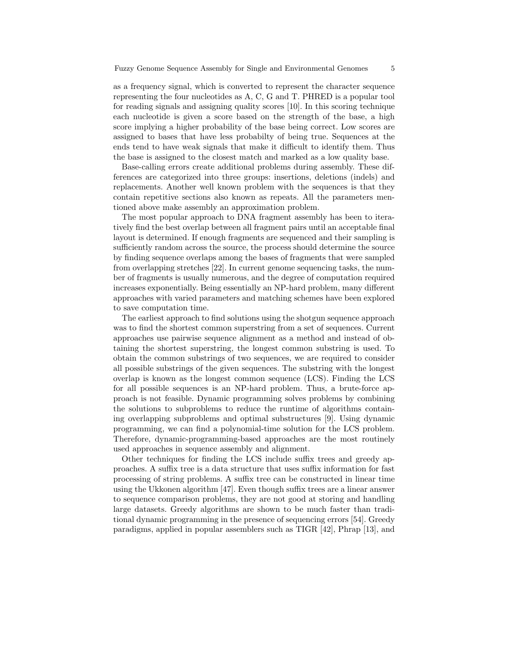as a frequency signal, which is converted to represent the character sequence representing the four nucleotides as A, C, G and T. PHRED is a popular tool for reading signals and assigning quality scores [10]. In this scoring technique each nucleotide is given a score based on the strength of the base, a high score implying a higher probability of the base being correct. Low scores are assigned to bases that have less probabilty of being true. Sequences at the ends tend to have weak signals that make it difficult to identify them. Thus the base is assigned to the closest match and marked as a low quality base.

Base-calling errors create additional problems during assembly. These differences are categorized into three groups: insertions, deletions (indels) and replacements. Another well known problem with the sequences is that they contain repetitive sections also known as repeats. All the parameters mentioned above make assembly an approximation problem.

The most popular approach to DNA fragment assembly has been to iteratively find the best overlap between all fragment pairs until an acceptable final layout is determined. If enough fragments are sequenced and their sampling is sufficiently random across the source, the process should determine the source by finding sequence overlaps among the bases of fragments that were sampled from overlapping stretches [22]. In current genome sequencing tasks, the number of fragments is usually numerous, and the degree of computation required increases exponentially. Being essentially an NP-hard problem, many different approaches with varied parameters and matching schemes have been explored to save computation time.

The earliest approach to find solutions using the shotgun sequence approach was to find the shortest common superstring from a set of sequences. Current approaches use pairwise sequence alignment as a method and instead of obtaining the shortest superstring, the longest common substring is used. To obtain the common substrings of two sequences, we are required to consider all possible substrings of the given sequences. The substring with the longest overlap is known as the longest common sequence (LCS). Finding the LCS for all possible sequences is an NP-hard problem. Thus, a brute-force approach is not feasible. Dynamic programming solves problems by combining the solutions to subproblems to reduce the runtime of algorithms containing overlapping subproblems and optimal substructures [9]. Using dynamic programming, we can find a polynomial-time solution for the LCS problem. Therefore, dynamic-programming-based approaches are the most routinely used approaches in sequence assembly and alignment.

Other techniques for finding the LCS include suffix trees and greedy approaches. A suffix tree is a data structure that uses suffix information for fast processing of string problems. A suffix tree can be constructed in linear time using the Ukkonen algorithm [47]. Even though suffix trees are a linear answer to sequence comparison problems, they are not good at storing and handling large datasets. Greedy algorithms are shown to be much faster than traditional dynamic programming in the presence of sequencing errors [54]. Greedy paradigms, applied in popular assemblers such as TIGR [42], Phrap [13], and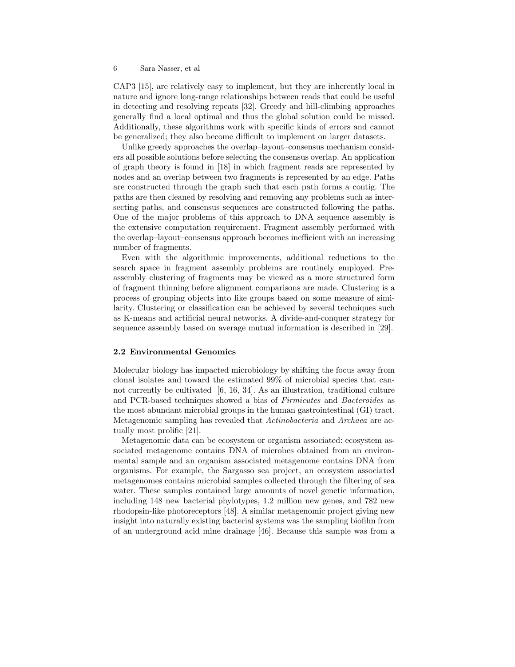CAP3 [15], are relatively easy to implement, but they are inherently local in nature and ignore long-range relationships between reads that could be useful in detecting and resolving repeats [32]. Greedy and hill-climbing approaches generally find a local optimal and thus the global solution could be missed. Additionally, these algorithms work with specific kinds of errors and cannot be generalized; they also become difficult to implement on larger datasets.

Unlike greedy approaches the overlap–layout–consensus mechanism considers all possible solutions before selecting the consensus overlap. An application of graph theory is found in [18] in which fragment reads are represented by nodes and an overlap between two fragments is represented by an edge. Paths are constructed through the graph such that each path forms a contig. The paths are then cleaned by resolving and removing any problems such as intersecting paths, and consensus sequences are constructed following the paths. One of the major problems of this approach to DNA sequence assembly is the extensive computation requirement. Fragment assembly performed with the overlap–layout–consensus approach becomes inefficient with an increasing number of fragments.

Even with the algorithmic improvements, additional reductions to the search space in fragment assembly problems are routinely employed. Preassembly clustering of fragments may be viewed as a more structured form of fragment thinning before alignment comparisons are made. Clustering is a process of grouping objects into like groups based on some measure of similarity. Clustering or classification can be achieved by several techniques such as K-means and artificial neural networks. A divide-and-conquer strategy for sequence assembly based on average mutual information is described in [29].

## 2.2 Environmental Genomics

Molecular biology has impacted microbiology by shifting the focus away from clonal isolates and toward the estimated 99% of microbial species that cannot currently be cultivated [6, 16, 34]. As an illustration, traditional culture and PCR-based techniques showed a bias of Firmicutes and Bacteroides as the most abundant microbial groups in the human gastrointestinal (GI) tract. Metagenomic sampling has revealed that Actinobacteria and Archaea are actually most prolific [21].

Metagenomic data can be ecosystem or organism associated: ecosystem associated metagenome contains DNA of microbes obtained from an environmental sample and an organism associated metagenome contains DNA from organisms. For example, the Sargasso sea project, an ecosystem associated metagenomes contains microbial samples collected through the filtering of sea water. These samples contained large amounts of novel genetic information, including 148 new bacterial phylotypes, 1.2 million new genes, and 782 new rhodopsin-like photoreceptors [48]. A similar metagenomic project giving new insight into naturally existing bacterial systems was the sampling biofilm from of an underground acid mine drainage [46]. Because this sample was from a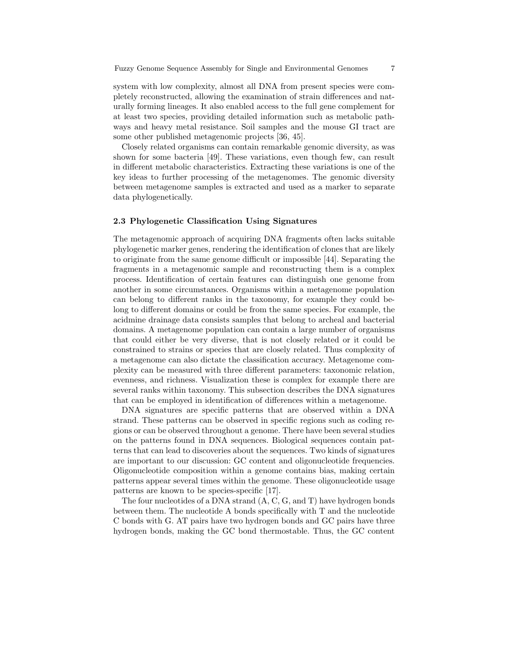system with low complexity, almost all DNA from present species were completely reconstructed, allowing the examination of strain differences and naturally forming lineages. It also enabled access to the full gene complement for at least two species, providing detailed information such as metabolic pathways and heavy metal resistance. Soil samples and the mouse GI tract are some other published metagenomic projects [36, 45].

Closely related organisms can contain remarkable genomic diversity, as was shown for some bacteria [49]. These variations, even though few, can result in different metabolic characteristics. Extracting these variations is one of the key ideas to further processing of the metagenomes. The genomic diversity between metagenome samples is extracted and used as a marker to separate data phylogenetically.

## 2.3 Phylogenetic Classification Using Signatures

The metagenomic approach of acquiring DNA fragments often lacks suitable phylogenetic marker genes, rendering the identification of clones that are likely to originate from the same genome difficult or impossible [44]. Separating the fragments in a metagenomic sample and reconstructing them is a complex process. Identification of certain features can distinguish one genome from another in some circumstances. Organisms within a metagenome population can belong to different ranks in the taxonomy, for example they could belong to different domains or could be from the same species. For example, the acidmine drainage data consists samples that belong to archeal and bacterial domains. A metagenome population can contain a large number of organisms that could either be very diverse, that is not closely related or it could be constrained to strains or species that are closely related. Thus complexity of a metagenome can also dictate the classification accuracy. Metagenome complexity can be measured with three different parameters: taxonomic relation, evenness, and richness. Visualization these is complex for example there are several ranks within taxonomy. This subsection describes the DNA signatures that can be employed in identification of differences within a metagenome.

DNA signatures are specific patterns that are observed within a DNA strand. These patterns can be observed in specific regions such as coding regions or can be observed throughout a genome. There have been several studies on the patterns found in DNA sequences. Biological sequences contain patterns that can lead to discoveries about the sequences. Two kinds of signatures are important to our discussion: GC content and oligonucleotide frequencies. Oligonucleotide composition within a genome contains bias, making certain patterns appear several times within the genome. These oligonucleotide usage patterns are known to be species-specific [17].

The four nucleotides of a DNA strand (A, C, G, and T) have hydrogen bonds between them. The nucleotide A bonds specifically with T and the nucleotide C bonds with G. AT pairs have two hydrogen bonds and GC pairs have three hydrogen bonds, making the GC bond thermostable. Thus, the GC content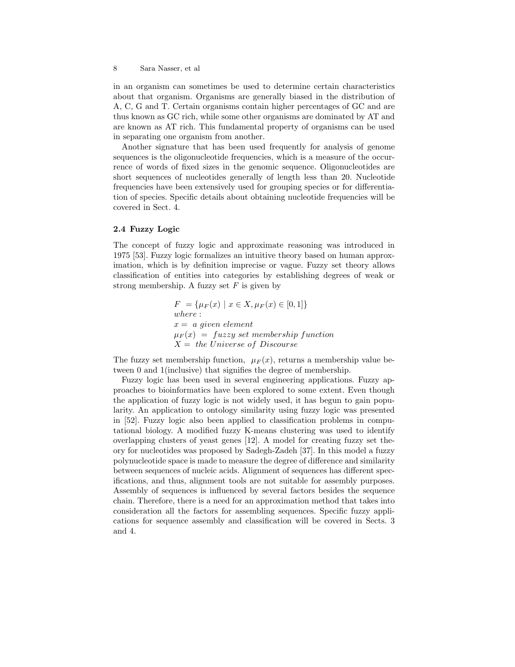in an organism can sometimes be used to determine certain characteristics about that organism. Organisms are generally biased in the distribution of A, C, G and T. Certain organisms contain higher percentages of GC and are thus known as GC rich, while some other organisms are dominated by AT and are known as AT rich. This fundamental property of organisms can be used in separating one organism from another.

Another signature that has been used frequently for analysis of genome sequences is the oligonucleotide frequencies, which is a measure of the occurrence of words of fixed sizes in the genomic sequence. Oligonucleotides are short sequences of nucleotides generally of length less than 20. Nucleotide frequencies have been extensively used for grouping species or for differentiation of species. Specific details about obtaining nucleotide frequencies will be covered in Sect. 4.

## 2.4 Fuzzy Logic

The concept of fuzzy logic and approximate reasoning was introduced in 1975 [53]. Fuzzy logic formalizes an intuitive theory based on human approximation, which is by definition imprecise or vague. Fuzzy set theory allows classification of entities into categories by establishing degrees of weak or strong membership. A fuzzy set  $F$  is given by

$$
F = {\mu_F(x) | x \in X, \mu_F(x) \in [0, 1]}
$$
  
where :  

$$
x = a
$$
 given element  

$$
\mu_F(x) = \text{fuzzy set membership function}
$$
  

$$
X = \text{the Universe of Discourse}
$$

The fuzzy set membership function,  $\mu_F(x)$ , returns a membership value between 0 and 1(inclusive) that signifies the degree of membership.

Fuzzy logic has been used in several engineering applications. Fuzzy approaches to bioinformatics have been explored to some extent. Even though the application of fuzzy logic is not widely used, it has begun to gain popularity. An application to ontology similarity using fuzzy logic was presented in [52]. Fuzzy logic also been applied to classification problems in computational biology. A modified fuzzy K-means clustering was used to identify overlapping clusters of yeast genes [12]. A model for creating fuzzy set theory for nucleotides was proposed by Sadegh-Zadeh [37]. In this model a fuzzy polynucleotide space is made to measure the degree of difference and similarity between sequences of nucleic acids. Alignment of sequences has different specifications, and thus, alignment tools are not suitable for assembly purposes. Assembly of sequences is influenced by several factors besides the sequence chain. Therefore, there is a need for an approximation method that takes into consideration all the factors for assembling sequences. Specific fuzzy applications for sequence assembly and classification will be covered in Sects. 3 and 4.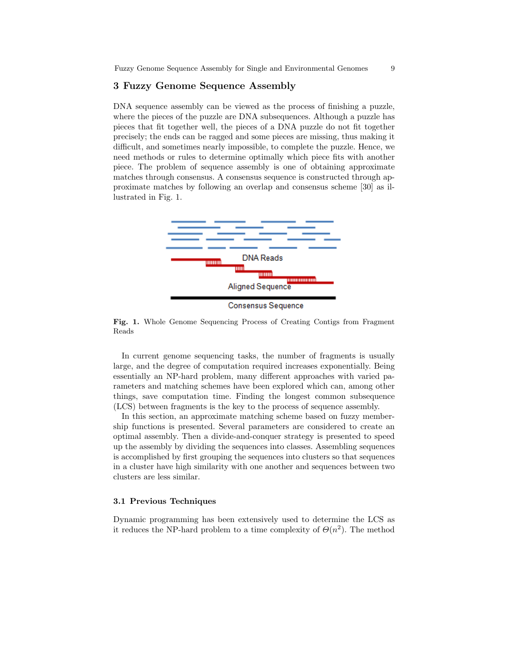## 3 Fuzzy Genome Sequence Assembly

DNA sequence assembly can be viewed as the process of finishing a puzzle, where the pieces of the puzzle are DNA subsequences. Although a puzzle has pieces that fit together well, the pieces of a DNA puzzle do not fit together precisely; the ends can be ragged and some pieces are missing, thus making it difficult, and sometimes nearly impossible, to complete the puzzle. Hence, we need methods or rules to determine optimally which piece fits with another piece. The problem of sequence assembly is one of obtaining approximate matches through consensus. A consensus sequence is constructed through approximate matches by following an overlap and consensus scheme [30] as illustrated in Fig. 1.



**Consensus Sequence** 

Fig. 1. Whole Genome Sequencing Process of Creating Contigs from Fragment Reads

In current genome sequencing tasks, the number of fragments is usually large, and the degree of computation required increases exponentially. Being essentially an NP-hard problem, many different approaches with varied parameters and matching schemes have been explored which can, among other things, save computation time. Finding the longest common subsequence (LCS) between fragments is the key to the process of sequence assembly.

In this section, an approximate matching scheme based on fuzzy membership functions is presented. Several parameters are considered to create an optimal assembly. Then a divide-and-conquer strategy is presented to speed up the assembly by dividing the sequences into classes. Assembling sequences is accomplished by first grouping the sequences into clusters so that sequences in a cluster have high similarity with one another and sequences between two clusters are less similar.

## 3.1 Previous Techniques

Dynamic programming has been extensively used to determine the LCS as it reduces the NP-hard problem to a time complexity of  $\Theta(n^2)$ . The method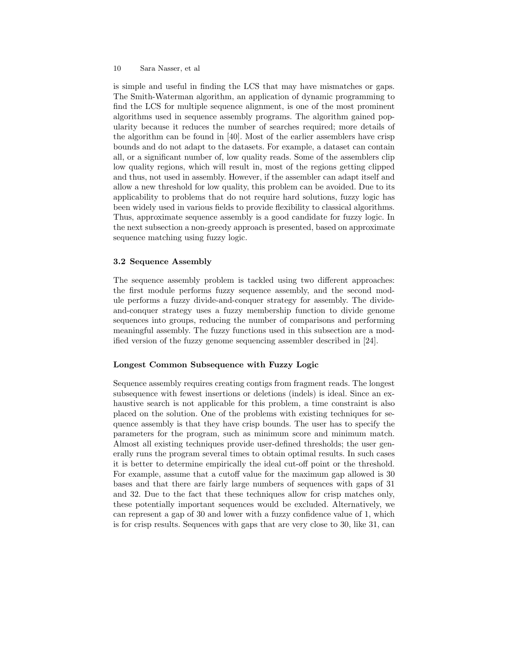is simple and useful in finding the LCS that may have mismatches or gaps. The Smith-Waterman algorithm, an application of dynamic programming to find the LCS for multiple sequence alignment, is one of the most prominent algorithms used in sequence assembly programs. The algorithm gained popularity because it reduces the number of searches required; more details of the algorithm can be found in [40]. Most of the earlier assemblers have crisp bounds and do not adapt to the datasets. For example, a dataset can contain all, or a significant number of, low quality reads. Some of the assemblers clip low quality regions, which will result in, most of the regions getting clipped and thus, not used in assembly. However, if the assembler can adapt itself and allow a new threshold for low quality, this problem can be avoided. Due to its applicability to problems that do not require hard solutions, fuzzy logic has been widely used in various fields to provide flexibility to classical algorithms. Thus, approximate sequence assembly is a good candidate for fuzzy logic. In the next subsection a non-greedy approach is presented, based on approximate sequence matching using fuzzy logic.

### 3.2 Sequence Assembly

The sequence assembly problem is tackled using two different approaches: the first module performs fuzzy sequence assembly, and the second module performs a fuzzy divide-and-conquer strategy for assembly. The divideand-conquer strategy uses a fuzzy membership function to divide genome sequences into groups, reducing the number of comparisons and performing meaningful assembly. The fuzzy functions used in this subsection are a modified version of the fuzzy genome sequencing assembler described in [24].

## Longest Common Subsequence with Fuzzy Logic

Sequence assembly requires creating contigs from fragment reads. The longest subsequence with fewest insertions or deletions (indels) is ideal. Since an exhaustive search is not applicable for this problem, a time constraint is also placed on the solution. One of the problems with existing techniques for sequence assembly is that they have crisp bounds. The user has to specify the parameters for the program, such as minimum score and minimum match. Almost all existing techniques provide user-defined thresholds; the user generally runs the program several times to obtain optimal results. In such cases it is better to determine empirically the ideal cut-off point or the threshold. For example, assume that a cutoff value for the maximum gap allowed is 30 bases and that there are fairly large numbers of sequences with gaps of 31 and 32. Due to the fact that these techniques allow for crisp matches only, these potentially important sequences would be excluded. Alternatively, we can represent a gap of 30 and lower with a fuzzy confidence value of 1, which is for crisp results. Sequences with gaps that are very close to 30, like 31, can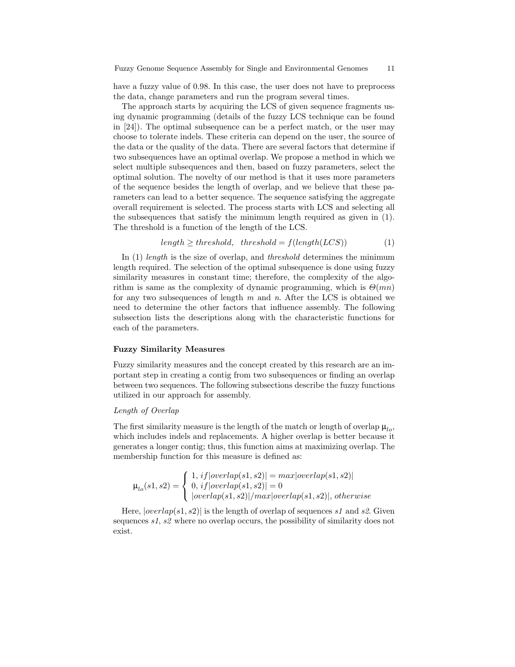have a fuzzy value of 0.98. In this case, the user does not have to preprocess the data, change parameters and run the program several times.

The approach starts by acquiring the LCS of given sequence fragments using dynamic programming (details of the fuzzy LCS technique can be found in [24]). The optimal subsequence can be a perfect match, or the user may choose to tolerate indels. These criteria can depend on the user, the source of the data or the quality of the data. There are several factors that determine if two subsequences have an optimal overlap. We propose a method in which we select multiple subsequences and then, based on fuzzy parameters, select the optimal solution. The novelty of our method is that it uses more parameters of the sequence besides the length of overlap, and we believe that these parameters can lead to a better sequence. The sequence satisfying the aggregate overall requirement is selected. The process starts with LCS and selecting all the subsequences that satisfy the minimum length required as given in (1). The threshold is a function of the length of the LCS.

$$
length \ge threshold, \ threshold = f(length(LCS))
$$
 (1)

In (1) *length* is the size of overlap, and *threshold* determines the minimum length required. The selection of the optimal subsequence is done using fuzzy similarity measures in constant time; therefore, the complexity of the algorithm is same as the complexity of dynamic programming, which is  $\Theta(mn)$ for any two subsequences of length  $m$  and  $n$ . After the LCS is obtained we need to determine the other factors that influence assembly. The following subsection lists the descriptions along with the characteristic functions for each of the parameters.

### Fuzzy Similarity Measures

Fuzzy similarity measures and the concept created by this research are an important step in creating a contig from two subsequences or finding an overlap between two sequences. The following subsections describe the fuzzy functions utilized in our approach for assembly.

## Length of Overlap

The first similarity measure is the length of the match or length of overlap  $\mu_{lo}$ , which includes indels and replacements. A higher overlap is better because it generates a longer contig; thus, this function aims at maximizing overlap. The membership function for this measure is defined as:

$$
\mu_{lo}(s1, s2) = \begin{cases} 1, if|overlap(s1, s2)| = max|overlap(s1, s2)|\\ 0, if|overlap(s1, s2)| = 0\\ |overlap(s1, s2)|/max|overlap(s1, s2)|, otherwise \end{cases}
$$

Here,  $|overlap(s1, s2)|$  is the length of overlap of sequences s1 and s2. Given sequences s1, s2 where no overlap occurs, the possibility of similarity does not exist.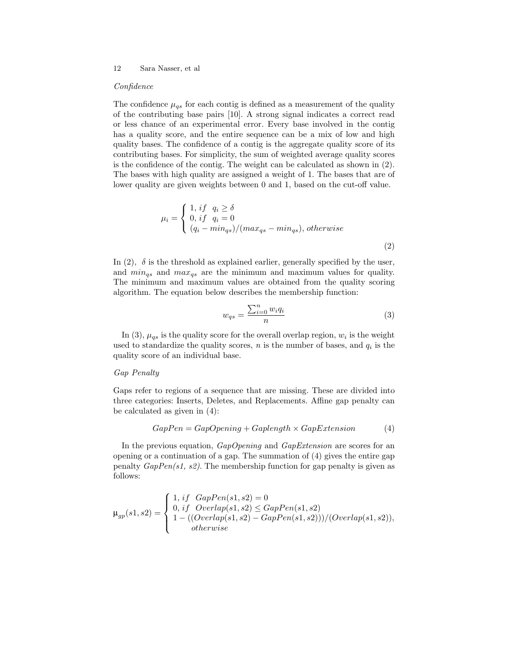#### Confidence

The confidence  $\mu_{qs}$  for each contig is defined as a measurement of the quality of the contributing base pairs [10]. A strong signal indicates a correct read or less chance of an experimental error. Every base involved in the contig has a quality score, and the entire sequence can be a mix of low and high quality bases. The confidence of a contig is the aggregate quality score of its contributing bases. For simplicity, the sum of weighted average quality scores is the confidence of the contig. The weight can be calculated as shown in (2). The bases with high quality are assigned a weight of 1. The bases that are of lower quality are given weights between 0 and 1, based on the cut-off value.

$$
\mu_i = \begin{cases} 1, if & q_i \ge \delta \\ 0, if & q_i = 0 \\ (q_i - \min_{qs})/(\max_{qs} - \min_{qs}), otherwise \end{cases}
$$
 (2)

In (2),  $\delta$  is the threshold as explained earlier, generally specified by the user, and  $min_{qs}$  and  $max_{qs}$  are the minimum and maximum values for quality. The minimum and maximum values are obtained from the quality scoring algorithm. The equation below describes the membership function:

$$
w_{qs} = \frac{\sum_{i=0}^{n} w_i q_i}{n} \tag{3}
$$

In (3),  $\mu_{qs}$  is the quality score for the overall overlap region,  $w_i$  is the weight used to standardize the quality scores,  $n$  is the number of bases, and  $q_i$  is the quality score of an individual base.

#### Gap Penalty

Gaps refer to regions of a sequence that are missing. These are divided into three categories: Inserts, Deletes, and Replacements. Affine gap penalty can be calculated as given in (4):

$$
GapPen = GapOpening + Gaplength \times GapExtension \qquad (4)
$$

In the previous equation,  $GapOpening$  and  $GapExtension$  are scores for an opening or a continuation of a gap. The summation of  $(4)$  gives the entire gap penalty  $GapPen(s1, s2)$ . The membership function for gap penalty is given as follows:

$$
\mu_{gp}(s1, s2) = \begin{cases} 1, if \quad GapPen(s1, s2) = 0 \\ 0, if \quad Overlap(s1, s2) \le GapPen(s1, s2) \\ 1 - ((Overlap(s1, s2) - GapPen(s1, s2)))/(Overlap(s1, s2)), \\ 0, otherwise \end{cases}
$$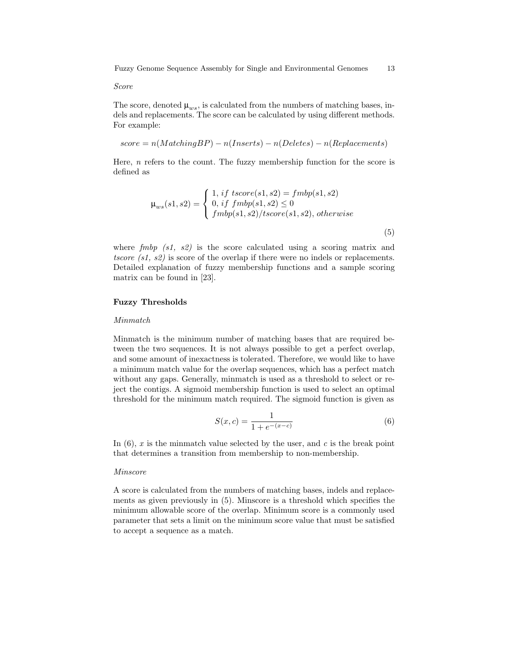Fuzzy Genome Sequence Assembly for Single and Environmental Genomes 13

Score

The score, denoted  $\mu_{ws}$ , is calculated from the numbers of matching bases, indels and replacements. The score can be calculated by using different methods. For example:

$$
score = n(MatchingBP) - n(Inserts) - n(Deletes) - n(Replaces)
$$

Here,  $n$  refers to the count. The fuzzy membership function for the score is defined as

$$
\mu_{ws}(s1, s2) = \begin{cases} 1, if tscore(s1, s2) = fmbp(s1, s2) \\ 0, if fmbp(s1, s2) \le 0 \\ fmbp(s1, s2) / tscore(s1, s2), otherwise \end{cases}
$$

where  $fmbp$  (s1, s2) is the score calculated using a scoring matrix and tscore  $(s1, s2)$  is score of the overlap if there were no indels or replacements. Detailed explanation of fuzzy membership functions and a sample scoring matrix can be found in [23].

### Fuzzy Thresholds

#### Minmatch

Minmatch is the minimum number of matching bases that are required between the two sequences. It is not always possible to get a perfect overlap, and some amount of inexactness is tolerated. Therefore, we would like to have a minimum match value for the overlap sequences, which has a perfect match without any gaps. Generally, minmatch is used as a threshold to select or reject the contigs. A sigmoid membership function is used to select an optimal threshold for the minimum match required. The sigmoid function is given as

$$
S(x,c) = \frac{1}{1 + e^{-(x-c)}}
$$
 (6)

(5)

In  $(6)$ , x is the minmatch value selected by the user, and c is the break point that determines a transition from membership to non-membership.

## Minscore

A score is calculated from the numbers of matching bases, indels and replacements as given previously in (5). Minscore is a threshold which specifies the minimum allowable score of the overlap. Minimum score is a commonly used parameter that sets a limit on the minimum score value that must be satisfied to accept a sequence as a match.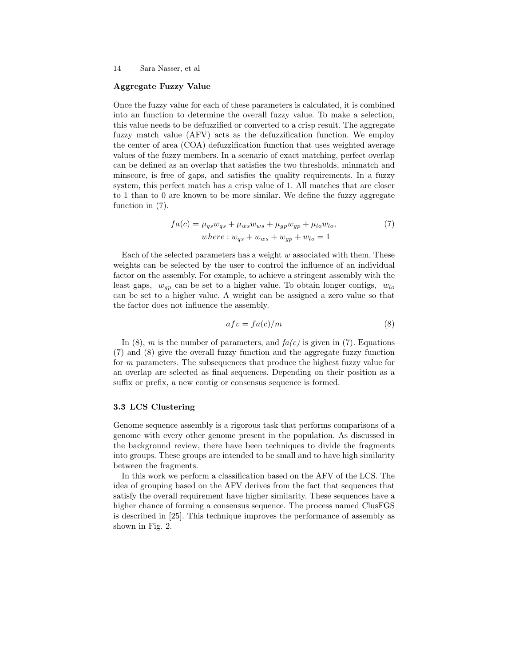## Aggregate Fuzzy Value

Once the fuzzy value for each of these parameters is calculated, it is combined into an function to determine the overall fuzzy value. To make a selection, this value needs to be defuzzified or converted to a crisp result. The aggregate fuzzy match value (AFV) acts as the defuzzification function. We employ the center of area (COA) defuzzification function that uses weighted average values of the fuzzy members. In a scenario of exact matching, perfect overlap can be defined as an overlap that satisfies the two thresholds, minmatch and minscore, is free of gaps, and satisfies the quality requirements. In a fuzzy system, this perfect match has a crisp value of 1. All matches that are closer to 1 than to 0 are known to be more similar. We define the fuzzy aggregate function in (7).

$$
fa(c) = \mu_{qs} w_{qs} + \mu_{ws} w_{ws} + \mu_{gp} w_{gp} + \mu_{lo} w_{lo},
$$
  
where :  $w_{qs} + w_{ws} + w_{gp} + w_{lo} = 1$  (7)

Each of the selected parameters has a weight  $w$  associated with them. These weights can be selected by the user to control the influence of an individual factor on the assembly. For example, to achieve a stringent assembly with the least gaps,  $w_{gp}$  can be set to a higher value. To obtain longer contigs,  $w_{lo}$ can be set to a higher value. A weight can be assigned a zero value so that the factor does not influence the assembly.

$$
afv = fa(c)/m \tag{8}
$$

In (8), m is the number of parameters, and  $fa(c)$  is given in (7). Equations (7) and (8) give the overall fuzzy function and the aggregate fuzzy function for m parameters. The subsequences that produce the highest fuzzy value for an overlap are selected as final sequences. Depending on their position as a suffix or prefix, a new contig or consensus sequence is formed.

## 3.3 LCS Clustering

Genome sequence assembly is a rigorous task that performs comparisons of a genome with every other genome present in the population. As discussed in the background review, there have been techniques to divide the fragments into groups. These groups are intended to be small and to have high similarity between the fragments.

In this work we perform a classification based on the AFV of the LCS. The idea of grouping based on the AFV derives from the fact that sequences that satisfy the overall requirement have higher similarity. These sequences have a higher chance of forming a consensus sequence. The process named ClusFGS is described in [25]. This technique improves the performance of assembly as shown in Fig. 2.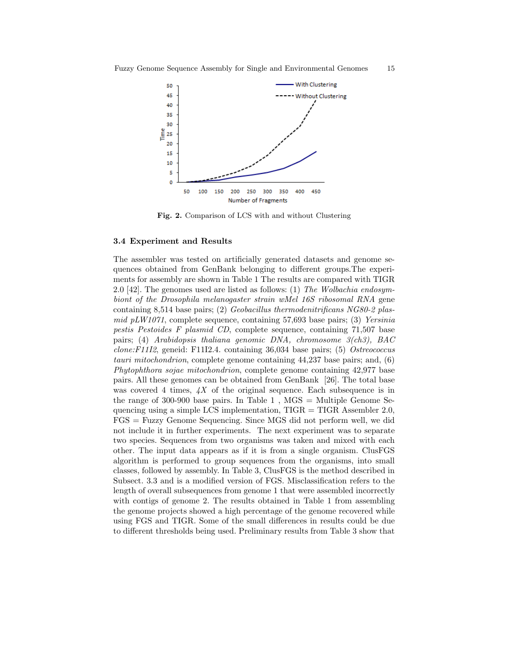

Fig. 2. Comparison of LCS with and without Clustering

## 3.4 Experiment and Results

The assembler was tested on artificially generated datasets and genome sequences obtained from GenBank belonging to different groups.The experiments for assembly are shown in Table 1 The results are compared with TIGR 2.0 [42]. The genomes used are listed as follows: (1) The Wolbachia endosymbiont of the Drosophila melanogaster strain wMel 16S ribosomal RNA gene containing 8,514 base pairs; (2) Geobacillus thermodenitrificans NG80-2 plasmid  $pLW1071$ , complete sequence, containing 57,693 base pairs; (3) Yersinia pestis Pestoides F plasmid CD, complete sequence, containing 71,507 base pairs; (4) Arabidopsis thaliana genomic DNA, chromosome 3(ch3), BAC  $clone: F11I2$ , geneid: F11I2.4. containing 36,034 base pairs; (5) Ostreococcus tauri mitochondrion, complete genome containing 44,237 base pairs; and, (6) Phytophthora sojae mitochondrion, complete genome containing 42,977 base pairs. All these genomes can be obtained from GenBank [26]. The total base was covered 4 times,  $\angle{X}$  of the original sequence. Each subsequence is in the range of 300-900 base pairs. In Table  $1$ ,  $MGS =$  Multiple Genome Sequencing using a simple LCS implementation,  $TIGR = TIGR$  Assembler 2.0, FGS = Fuzzy Genome Sequencing. Since MGS did not perform well, we did not include it in further experiments. The next experiment was to separate two species. Sequences from two organisms was taken and mixed with each other. The input data appears as if it is from a single organism. ClusFGS algorithm is performed to group sequences from the organisms, into small classes, followed by assembly. In Table 3, ClusFGS is the method described in Subsect. 3.3 and is a modified version of FGS. Misclassification refers to the length of overall subsequences from genome 1 that were assembled incorrectly with contigs of genome 2. The results obtained in Table 1 from assembling the genome projects showed a high percentage of the genome recovered while using FGS and TIGR. Some of the small differences in results could be due to different thresholds being used. Preliminary results from Table 3 show that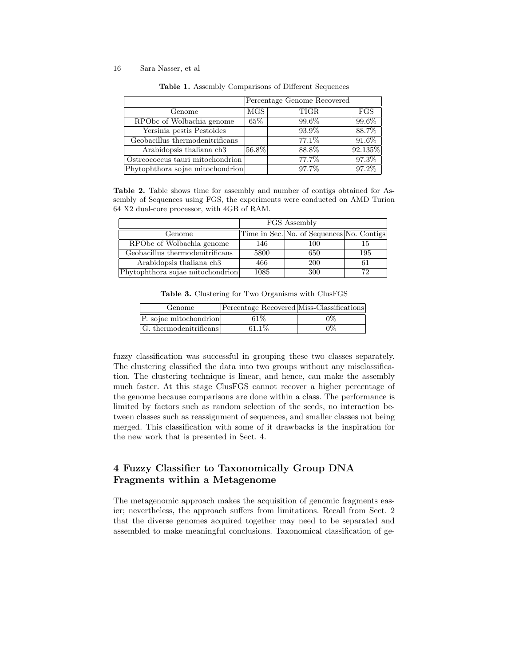|                                      | Percentage Genome Recovered |             |            |
|--------------------------------------|-----------------------------|-------------|------------|
| Genome                               | MGS                         | <b>TIGR</b> | <b>FGS</b> |
| RPObc of Wolbachia genome            | $65\%$                      | 99.6%       | 99.6%      |
| Yersinia pestis Pestoides            |                             | 93.9%       | 88.7%      |
| Geobacillus thermodenitrificans      |                             | 77.1\%      | 91.6%      |
| Arabidopsis thaliana ch <sub>3</sub> | 56.8%                       | 88.8%       | 92.135%    |
| Ostreococcus tauri mitochondrion     |                             | 77.7%       | 97.3%      |
| Phytophthora sojae mitochondrion     |                             | 97.7%       | 97.2%      |

Table 1. Assembly Comparisons of Different Sequences

Table 2. Table shows time for assembly and number of contigs obtained for Assembly of Sequences using FGS, the experiments were conducted on AMD Turion 64 X2 dual-core processor, with 4GB of RAM.

|                                       | FGS Assembly |                                           |     |
|---------------------------------------|--------------|-------------------------------------------|-----|
| Genome                                |              | Time in Sec. No. of Sequences No. Contigs |     |
| RPO <sub>bc</sub> of Wolbachia genome | 146          | 100                                       | 15  |
| Geobacillus thermodenitrificans       | 5800         | 650                                       | 195 |
| Arabidopsis thaliana ch <sub>3</sub>  | 466          | <b>200</b>                                | 61  |
| Phytophthora sojae mitochondrion      | 1085         | 300                                       | 72  |

Table 3. Clustering for Two Organisms with ClusFGS

| Genome                 | Percentage Recovered Miss-Classifications |    |
|------------------------|-------------------------------------------|----|
| P. sojae mitochondrion | 61%                                       | 0% |
| G. thermodenitrificans | 61.1\%                                    | 0% |

fuzzy classification was successful in grouping these two classes separately. The clustering classified the data into two groups without any misclassification. The clustering technique is linear, and hence, can make the assembly much faster. At this stage ClusFGS cannot recover a higher percentage of the genome because comparisons are done within a class. The performance is limited by factors such as random selection of the seeds, no interaction between classes such as reassignment of sequences, and smaller classes not being merged. This classification with some of it drawbacks is the inspiration for the new work that is presented in Sect. 4.

## 4 Fuzzy Classifier to Taxonomically Group DNA Fragments within a Metagenome

The metagenomic approach makes the acquisition of genomic fragments easier; nevertheless, the approach suffers from limitations. Recall from Sect. 2 that the diverse genomes acquired together may need to be separated and assembled to make meaningful conclusions. Taxonomical classification of ge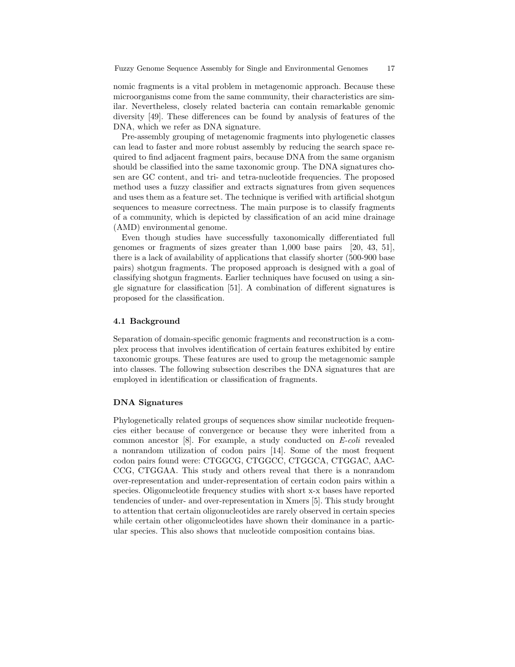nomic fragments is a vital problem in metagenomic approach. Because these microorganisms come from the same community, their characteristics are similar. Nevertheless, closely related bacteria can contain remarkable genomic diversity [49]. These differences can be found by analysis of features of the DNA, which we refer as DNA signature.

Pre-assembly grouping of metagenomic fragments into phylogenetic classes can lead to faster and more robust assembly by reducing the search space required to find adjacent fragment pairs, because DNA from the same organism should be classified into the same taxonomic group. The DNA signatures chosen are GC content, and tri- and tetra-nucleotide frequencies. The proposed method uses a fuzzy classifier and extracts signatures from given sequences and uses them as a feature set. The technique is verified with artificial shotgun sequences to measure correctness. The main purpose is to classify fragments of a community, which is depicted by classification of an acid mine drainage (AMD) environmental genome.

Even though studies have successfully taxonomically differentiated full genomes or fragments of sizes greater than 1,000 base pairs [20, 43, 51], there is a lack of availability of applications that classify shorter (500-900 base pairs) shotgun fragments. The proposed approach is designed with a goal of classifying shotgun fragments. Earlier techniques have focused on using a single signature for classification [51]. A combination of different signatures is proposed for the classification.

## 4.1 Background

Separation of domain-specific genomic fragments and reconstruction is a complex process that involves identification of certain features exhibited by entire taxonomic groups. These features are used to group the metagenomic sample into classes. The following subsection describes the DNA signatures that are employed in identification or classification of fragments.

### DNA Signatures

Phylogenetically related groups of sequences show similar nucleotide frequencies either because of convergence or because they were inherited from a common ancestor [8]. For example, a study conducted on E-coli revealed a nonrandom utilization of codon pairs [14]. Some of the most frequent codon pairs found were: CTGGCG, CTGGCC, CTGGCA, CTGGAC, AAC-CCG, CTGGAA. This study and others reveal that there is a nonrandom over-representation and under-representation of certain codon pairs within a species. Oligonucleotide frequency studies with short x-x bases have reported tendencies of under- and over-representation in Xmers [5]. This study brought to attention that certain oligonucleotides are rarely observed in certain species while certain other oligonucleotides have shown their dominance in a particular species. This also shows that nucleotide composition contains bias.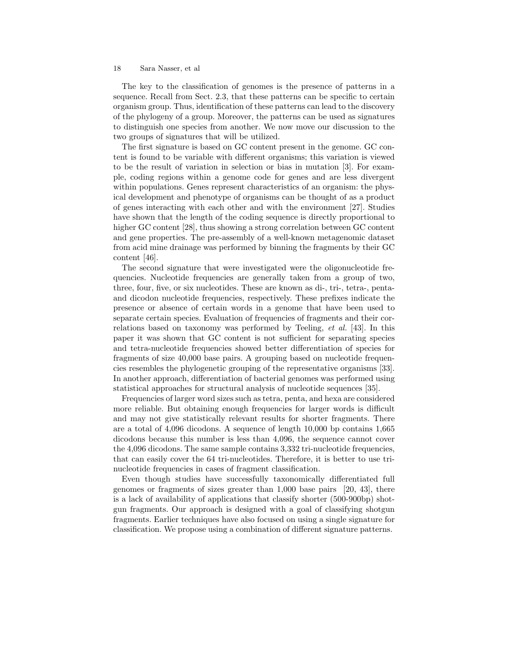The key to the classification of genomes is the presence of patterns in a sequence. Recall from Sect. 2.3, that these patterns can be specific to certain organism group. Thus, identification of these patterns can lead to the discovery of the phylogeny of a group. Moreover, the patterns can be used as signatures to distinguish one species from another. We now move our discussion to the two groups of signatures that will be utilized.

The first signature is based on GC content present in the genome. GC content is found to be variable with different organisms; this variation is viewed to be the result of variation in selection or bias in mutation [3]. For example, coding regions within a genome code for genes and are less divergent within populations. Genes represent characteristics of an organism: the physical development and phenotype of organisms can be thought of as a product of genes interacting with each other and with the environment [27]. Studies have shown that the length of the coding sequence is directly proportional to higher GC content [28], thus showing a strong correlation between GC content and gene properties. The pre-assembly of a well-known metagenomic dataset from acid mine drainage was performed by binning the fragments by their GC content [46].

The second signature that were investigated were the oligonucleotide frequencies. Nucleotide frequencies are generally taken from a group of two, three, four, five, or six nucleotides. These are known as di-, tri-, tetra-, pentaand dicodon nucleotide frequencies, respectively. These prefixes indicate the presence or absence of certain words in a genome that have been used to separate certain species. Evaluation of frequencies of fragments and their correlations based on taxonomy was performed by Teeling, et al. [43]. In this paper it was shown that GC content is not sufficient for separating species and tetra-nucleotide frequencies showed better differentiation of species for fragments of size 40,000 base pairs. A grouping based on nucleotide frequencies resembles the phylogenetic grouping of the representative organisms [33]. In another approach, differentiation of bacterial genomes was performed using statistical approaches for structural analysis of nucleotide sequences [35].

Frequencies of larger word sizes such as tetra, penta, and hexa are considered more reliable. But obtaining enough frequencies for larger words is difficult and may not give statistically relevant results for shorter fragments. There are a total of 4,096 dicodons. A sequence of length 10,000 bp contains 1,665 dicodons because this number is less than 4,096, the sequence cannot cover the 4,096 dicodons. The same sample contains 3,332 tri-nucleotide frequencies, that can easily cover the 64 tri-nucleotides. Therefore, it is better to use trinucleotide frequencies in cases of fragment classification.

Even though studies have successfully taxonomically differentiated full genomes or fragments of sizes greater than 1,000 base pairs [20, 43], there is a lack of availability of applications that classify shorter (500-900bp) shotgun fragments. Our approach is designed with a goal of classifying shotgun fragments. Earlier techniques have also focused on using a single signature for classification. We propose using a combination of different signature patterns.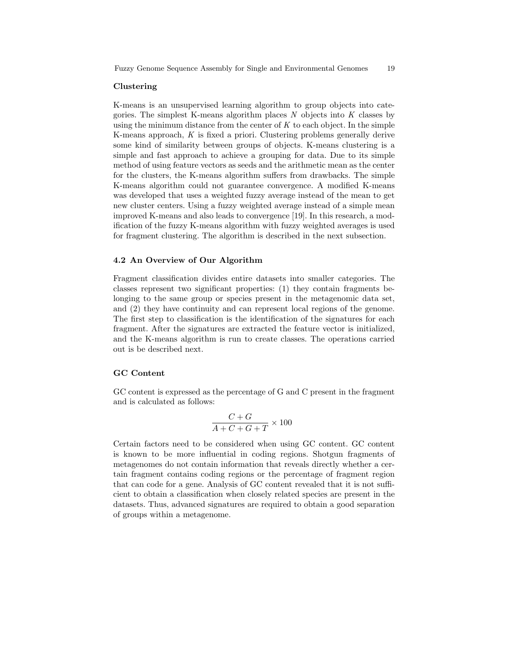#### Clustering

K-means is an unsupervised learning algorithm to group objects into categories. The simplest K-means algorithm places  $N$  objects into  $K$  classes by using the minimum distance from the center of  $K$  to each object. In the simple K-means approach, K is fixed a priori. Clustering problems generally derive some kind of similarity between groups of objects. K-means clustering is a simple and fast approach to achieve a grouping for data. Due to its simple method of using feature vectors as seeds and the arithmetic mean as the center for the clusters, the K-means algorithm suffers from drawbacks. The simple K-means algorithm could not guarantee convergence. A modified K-means was developed that uses a weighted fuzzy average instead of the mean to get new cluster centers. Using a fuzzy weighted average instead of a simple mean improved K-means and also leads to convergence [19]. In this research, a modification of the fuzzy K-means algorithm with fuzzy weighted averages is used for fragment clustering. The algorithm is described in the next subsection.

## 4.2 An Overview of Our Algorithm

Fragment classification divides entire datasets into smaller categories. The classes represent two significant properties: (1) they contain fragments belonging to the same group or species present in the metagenomic data set, and (2) they have continuity and can represent local regions of the genome. The first step to classification is the identification of the signatures for each fragment. After the signatures are extracted the feature vector is initialized, and the K-means algorithm is run to create classes. The operations carried out is be described next.

## GC Content

GC content is expressed as the percentage of G and C present in the fragment and is calculated as follows:

$$
\frac{C+G}{A+C+G+T} \times 100
$$

Certain factors need to be considered when using GC content. GC content is known to be more influential in coding regions. Shotgun fragments of metagenomes do not contain information that reveals directly whether a certain fragment contains coding regions or the percentage of fragment region that can code for a gene. Analysis of GC content revealed that it is not sufficient to obtain a classification when closely related species are present in the datasets. Thus, advanced signatures are required to obtain a good separation of groups within a metagenome.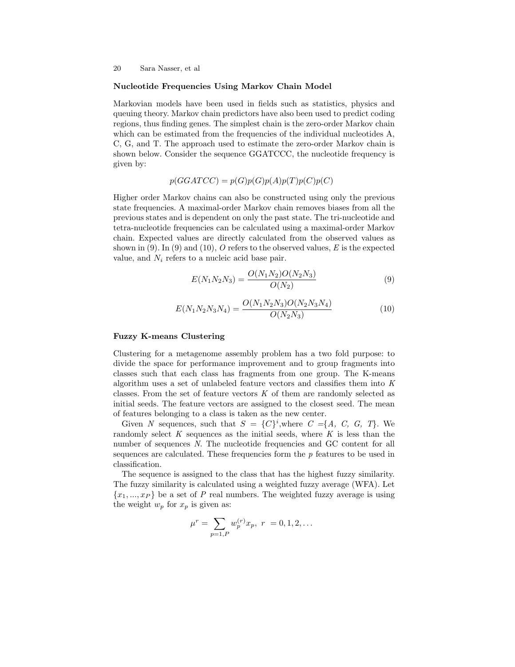#### Nucleotide Frequencies Using Markov Chain Model

Markovian models have been used in fields such as statistics, physics and queuing theory. Markov chain predictors have also been used to predict coding regions, thus finding genes. The simplest chain is the zero-order Markov chain which can be estimated from the frequencies of the individual nucleotides A, C, G, and T. The approach used to estimate the zero-order Markov chain is shown below. Consider the sequence GGATCCC, the nucleotide frequency is given by:

## $p(GGATCC) = p(G)p(G)p(A)p(T)p(C)p(C)$

Higher order Markov chains can also be constructed using only the previous state frequencies. A maximal-order Markov chain removes biases from all the previous states and is dependent on only the past state. The tri-nucleotide and tetra-nucleotide frequencies can be calculated using a maximal-order Markov chain. Expected values are directly calculated from the observed values as shown in  $(9)$ . In  $(9)$  and  $(10)$ , O refers to the observed values, E is the expected value, and  $N_i$  refers to a nucleic acid base pair.

$$
E(N_1N_2N_3) = \frac{O(N_1N_2)O(N_2N_3)}{O(N_2)}\tag{9}
$$

$$
E(N_1N_2N_3N_4) = \frac{O(N_1N_2N_3)O(N_2N_3N_4)}{O(N_2N_3)}
$$
\n(10)

## Fuzzy K-means Clustering

Clustering for a metagenome assembly problem has a two fold purpose: to divide the space for performance improvement and to group fragments into classes such that each class has fragments from one group. The K-means algorithm uses a set of unlabeled feature vectors and classifies them into K classes. From the set of feature vectors  $K$  of them are randomly selected as initial seeds. The feature vectors are assigned to the closest seed. The mean of features belonging to a class is taken as the new center.

Given N sequences, such that  $S = \{C\}^i$ , where  $C = \{A, C, G, T\}$ . We randomly select K sequences as the initial seeds, where  $K$  is less than the number of sequences N. The nucleotide frequencies and GC content for all sequences are calculated. These frequencies form the  $p$  features to be used in classification.

The sequence is assigned to the class that has the highest fuzzy similarity. The fuzzy similarity is calculated using a weighted fuzzy average (WFA). Let  ${x_1, ..., x_P}$  be a set of P real numbers. The weighted fuzzy average is using the weight  $w_p$  for  $x_p$  is given as:

$$
\mu^r = \sum_{p=1,P} w_p^{(r)} x_p, \ r = 0, 1, 2, \dots
$$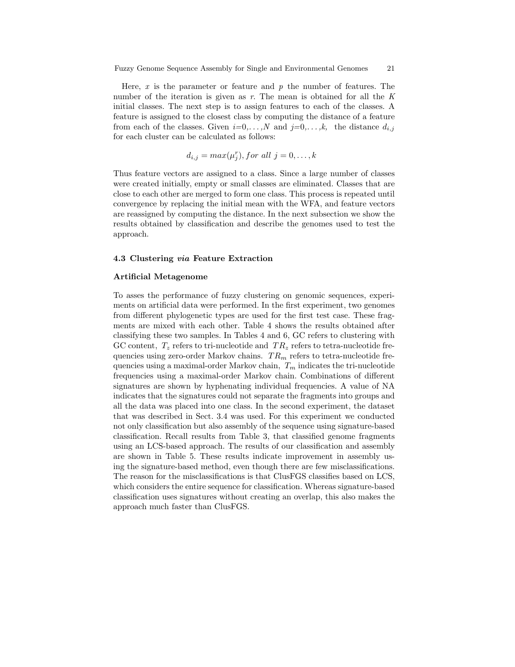Here,  $x$  is the parameter or feature and  $p$  the number of features. The number of the iteration is given as  $r$ . The mean is obtained for all the  $K$ initial classes. The next step is to assign features to each of the classes. A feature is assigned to the closest class by computing the distance of a feature from each of the classes. Given  $i=0,\ldots,N$  and  $j=0,\ldots,k$ , the distance  $d_{i,j}$ for each cluster can be calculated as follows:

$$
d_{i,j} = max(\mu_j^r), for all j = 0, \ldots, k
$$

Thus feature vectors are assigned to a class. Since a large number of classes were created initially, empty or small classes are eliminated. Classes that are close to each other are merged to form one class. This process is repeated until convergence by replacing the initial mean with the WFA, and feature vectors are reassigned by computing the distance. In the next subsection we show the results obtained by classification and describe the genomes used to test the approach.

## 4.3 Clustering via Feature Extraction

#### Artificial Metagenome

To asses the performance of fuzzy clustering on genomic sequences, experiments on artificial data were performed. In the first experiment, two genomes from different phylogenetic types are used for the first test case. These fragments are mixed with each other. Table 4 shows the results obtained after classifying these two samples. In Tables 4 and 6, GC refers to clustering with GC content,  $T_z$  refers to tri-nucleotide and  $TR_z$  refers to tetra-nucleotide frequencies using zero-order Markov chains.  $TR_m$  refers to tetra-nucleotide frequencies using a maximal-order Markov chain,  $T_m$  indicates the tri-nucleotide frequencies using a maximal-order Markov chain. Combinations of different signatures are shown by hyphenating individual frequencies. A value of NA indicates that the signatures could not separate the fragments into groups and all the data was placed into one class. In the second experiment, the dataset that was described in Sect. 3.4 was used. For this experiment we conducted not only classification but also assembly of the sequence using signature-based classification. Recall results from Table 3, that classified genome fragments using an LCS-based approach. The results of our classification and assembly are shown in Table 5. These results indicate improvement in assembly using the signature-based method, even though there are few misclassifications. The reason for the misclassifications is that ClusFGS classifies based on LCS, which considers the entire sequence for classification. Whereas signature-based classification uses signatures without creating an overlap, this also makes the approach much faster than ClusFGS.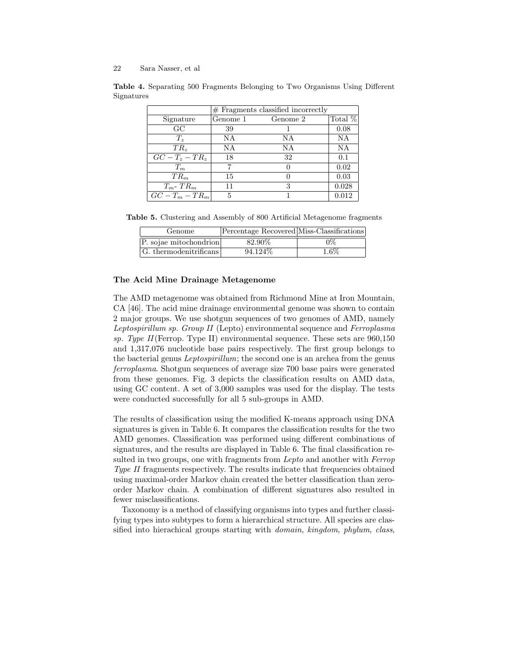|                   | $#$ Fragments classified incorrectly |          |         |
|-------------------|--------------------------------------|----------|---------|
| Signature         | Genome 1                             | Genome 2 | Total % |
| $\rm GC$          | 39                                   |          | 0.08    |
| $T_{\rm z}$       | ΝA                                   | ΝA       | ΝA      |
| $TR_z$            | <b>NA</b>                            | ΝA       | NА      |
| $GC - T_z - TR_z$ | 18                                   | 32       | 0.1     |
| $T_m$             |                                      |          | 0.02    |
| $TR_m$            | 15                                   |          | 0.03    |
| $T_m$ - $TR_m$    | 11                                   | 3        | 0.028   |
| $GC - T_m - TR_m$ | 5                                    |          | 0.012   |

Table 4. Separating 500 Fragments Belonging to Two Organisms Using Different Signatures

Table 5. Clustering and Assembly of 800 Artificial Metagenome fragments

| Genome                    | Percentage Recovered Miss-Classifications |         |
|---------------------------|-------------------------------------------|---------|
| P. sojae mitochondrion    | 82.90%                                    | $0\%$   |
| $ G.$ thermodenitrificans | 94.124\%                                  | $1.6\%$ |

#### The Acid Mine Drainage Metagenome

The AMD metagenome was obtained from Richmond Mine at Iron Mountain, CA [46]. The acid mine drainage environmental genome was shown to contain 2 major groups. We use shotgun sequences of two genomes of AMD, namely Leptospirillum sp. Group II (Lepto) environmental sequence and Ferroplasma sp. Type II(Ferrop. Type II) environmental sequence. These sets are  $960,150$ and 1,317,076 nucleotide base pairs respectively. The first group belongs to the bacterial genus Leptospirillum; the second one is an archea from the genus ferroplasma. Shotgun sequences of average size 700 base pairs were generated from these genomes. Fig. 3 depicts the classification results on AMD data, using GC content. A set of 3,000 samples was used for the display. The tests were conducted successfully for all 5 sub-groups in AMD.

The results of classification using the modified K-means approach using DNA signatures is given in Table 6. It compares the classification results for the two AMD genomes. Classification was performed using different combinations of signatures, and the results are displayed in Table 6. The final classification resulted in two groups, one with fragments from Lepto and another with Ferrop Type II fragments respectively. The results indicate that frequencies obtained using maximal-order Markov chain created the better classification than zeroorder Markov chain. A combination of different signatures also resulted in fewer misclassifications.

Taxonomy is a method of classifying organisms into types and further classifying types into subtypes to form a hierarchical structure. All species are classified into hierachical groups starting with *domain*, kingdom, phylum, class,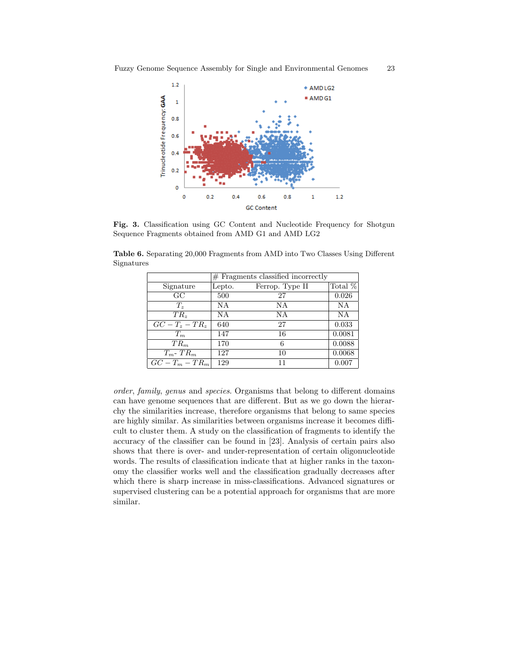

Fig. 3. Classification using GC Content and Nucleotide Frequency for Shotgun Sequence Fragments obtained from AMD G1 and AMD LG2

Table 6. Separating 20,000 Fragments from AMD into Two Classes Using Different Signatures

|                    | $#$ Fragments classified incorrectly |                 |           |  |
|--------------------|--------------------------------------|-----------------|-----------|--|
| Signature          | Lepto.                               | Ferrop. Type II | Total $%$ |  |
| $_{\rm GC}$        | 500                                  | 27              | 0.026     |  |
| $T_{\rm z}$        | NA                                   | ΝA              | NΑ        |  |
| $TR_z$             | NA                                   | ΝA              | NΑ        |  |
| $GC - T_z - TR_z$  | 640                                  | 27              | 0.033     |  |
| $T_m$              | 147                                  | 16              | 0.0081    |  |
| $TR_m$             | 170                                  | 6               | 0.0088    |  |
| $T_m$ - $TR_m$     | 127                                  | 10              | 0.0068    |  |
| $GC - T_m - T R_m$ | 129                                  | 11              | 0.007     |  |

order, family, genus and species. Organisms that belong to different domains can have genome sequences that are different. But as we go down the hierarchy the similarities increase, therefore organisms that belong to same species are highly similar. As similarities between organisms increase it becomes difficult to cluster them. A study on the classification of fragments to identify the accuracy of the classifier can be found in [23]. Analysis of certain pairs also shows that there is over- and under-representation of certain oligonucleotide words. The results of classification indicate that at higher ranks in the taxonomy the classifier works well and the classification gradually decreases after which there is sharp increase in miss-classifications. Advanced signatures or supervised clustering can be a potential approach for organisms that are more similar.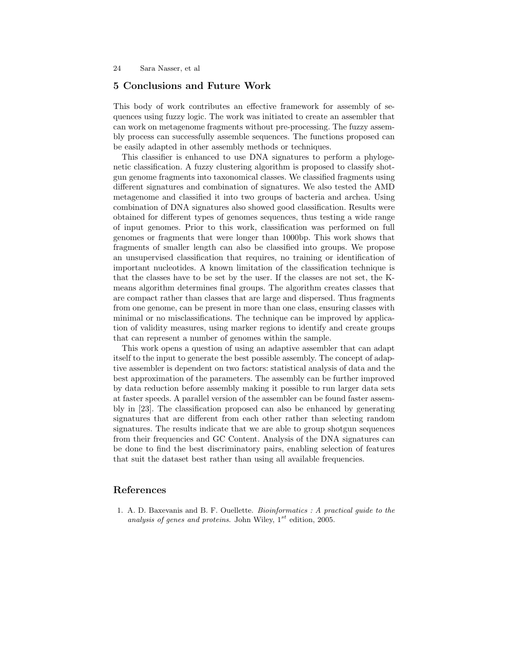## 5 Conclusions and Future Work

This body of work contributes an effective framework for assembly of sequences using fuzzy logic. The work was initiated to create an assembler that can work on metagenome fragments without pre-processing. The fuzzy assembly process can successfully assemble sequences. The functions proposed can be easily adapted in other assembly methods or techniques.

This classifier is enhanced to use DNA signatures to perform a phylogenetic classification. A fuzzy clustering algorithm is proposed to classify shotgun genome fragments into taxonomical classes. We classified fragments using different signatures and combination of signatures. We also tested the AMD metagenome and classified it into two groups of bacteria and archea. Using combination of DNA signatures also showed good classification. Results were obtained for different types of genomes sequences, thus testing a wide range of input genomes. Prior to this work, classification was performed on full genomes or fragments that were longer than 1000bp. This work shows that fragments of smaller length can also be classified into groups. We propose an unsupervised classification that requires, no training or identification of important nucleotides. A known limitation of the classification technique is that the classes have to be set by the user. If the classes are not set, the Kmeans algorithm determines final groups. The algorithm creates classes that are compact rather than classes that are large and dispersed. Thus fragments from one genome, can be present in more than one class, ensuring classes with minimal or no misclassifications. The technique can be improved by application of validity measures, using marker regions to identify and create groups that can represent a number of genomes within the sample.

This work opens a question of using an adaptive assembler that can adapt itself to the input to generate the best possible assembly. The concept of adaptive assembler is dependent on two factors: statistical analysis of data and the best approximation of the parameters. The assembly can be further improved by data reduction before assembly making it possible to run larger data sets at faster speeds. A parallel version of the assembler can be found faster assembly in [23]. The classification proposed can also be enhanced by generating signatures that are different from each other rather than selecting random signatures. The results indicate that we are able to group shotgun sequences from their frequencies and GC Content. Analysis of the DNA signatures can be done to find the best discriminatory pairs, enabling selection of features that suit the dataset best rather than using all available frequencies.

## References

1. A. D. Baxevanis and B. F. Ouellette. Bioinformatics : A practical guide to the analysis of genes and proteins. John Wiley,  $1^{st}$  edition, 2005.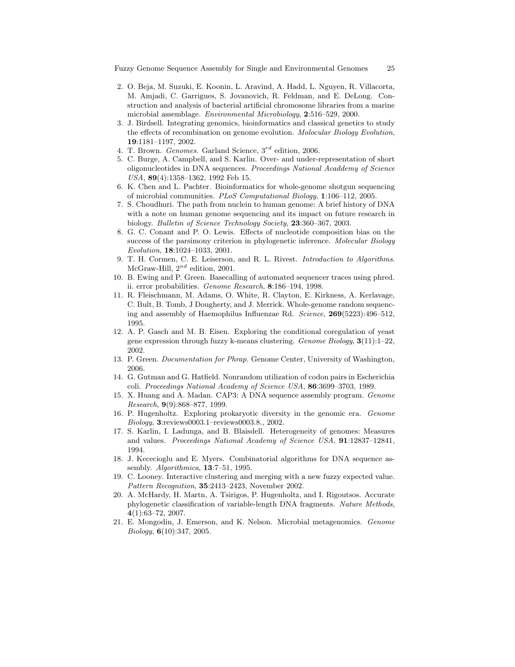Fuzzy Genome Sequence Assembly for Single and Environmental Genomes 25

- 2. O. Beja, M. Suzuki, E. Koonin, L. Aravind, A. Hadd, L. Nguyen, R. Villacorta, M. Amjadi, C. Garrigues, S. Jovanovich, R. Feldman, and E. DeLong. Construction and analysis of bacterial artificial chromosome libraries from a marine microbial assemblage. Environmental Microbiology, 2:516–529, 2000.
- 3. J. Birdsell. Integrating genomics, bioinformatics and classical genetics to study the effects of recombination on genome evolution. Molocular Biology Evolution, 19:1181–1197, 2002.
- 4. T. Brown. Genomes. Garland Science,  $3^{rd}$  edition, 2006.
- 5. C. Burge, A. Campbell, and S. Karlin. Over- and under-representation of short oligonucleotides in DNA sequences. Proceedings National Acaddemy of Science USA, 89(4):1358–1362, 1992 Feb 15.
- 6. K. Chen and L. Pachter. Bioinformatics for whole-genome shotgun sequencing of microbial communities. PLoS Computational Biology, 1:106–112, 2005.
- 7. S. Choudhuri. The path from nuclein to human genome: A brief history of DNA with a note on human genome sequencing and its impact on future research in biology. Bulletin of Science Technology Society, 23:360–367, 2003.
- 8. G. C. Conant and P. O. Lewis. Effects of nucleotide composition bias on the success of the parsimony criterion in phylogenetic inference. Molecular Biology Evolution, 18:1024–1033, 2001.
- 9. T. H. Cormen, C. E. Leiserson, and R. L. Rivest. Introduction to Algorithms. McGraw-Hill,  $2^{nd}$  edition, 2001.
- 10. B. Ewing and P. Green. Basecalling of automated sequencer traces using phred. ii. error probabilities. Genome Research, 8:186–194, 1998.
- 11. R. Fleischmann, M. Adams, O. White, R. Clayton, E. Kirkness, A. Kerlavage, C. Bult, B. Tomb, J Dougherty, and J. Merrick. Whole-genome random sequencing and assembly of Haemophilus Influenzae Rd. Science, 269(5223):496–512, 1995.
- 12. A. P. Gasch and M. B. Eisen. Exploring the conditional coregulation of yeast gene expression through fuzzy k-means clustering. Genome Biology, 3(11):1–22, 2002.
- 13. P. Green. Documentation for Phrap. Genome Center, University of Washington, 2006.
- 14. G. Gutman and G. Hatfield. Nonrandom utilization of codon pairs in Escherichia coli. Proceedings National Academy of Science USA, 86:3699–3703, 1989.
- 15. X. Huang and A. Madan. CAP3: A DNA sequence assembly program. Genome Research, 9(9):868–877, 1999.
- 16. P. Hugenholtz. Exploring prokaryotic diversity in the genomic era. Genome Biology, 3:reviews0003.1–reviews0003.8., 2002.
- 17. S. Karlin, I. Ladunga, and B. Blaisdell. Heterogeneity of genomes: Measures and values. Proceedings National Academy of Science USA, 91:12837–12841, 1994.
- 18. J. Kececioglu and E. Myers. Combinatorial algorithms for DNA sequence assembly. Algorithmica, **13**:7-51, 1995.
- 19. C. Looney. Interactive clustering and merging with a new fuzzy expected value. Pattern Recognition, 35:2413–2423, November 2002.
- 20. A. McHardy, H. Martn, A. Tsirigos, P. Hugenholtz, and I. Rigoutsos. Accurate phylogenetic classification of variable-length DNA fragments. Nature Methods, 4(1):63–72, 2007.
- 21. E. Mongodin, J. Emerson, and K. Nelson. Microbial metagenomics. Genome Biology, 6(10):347, 2005.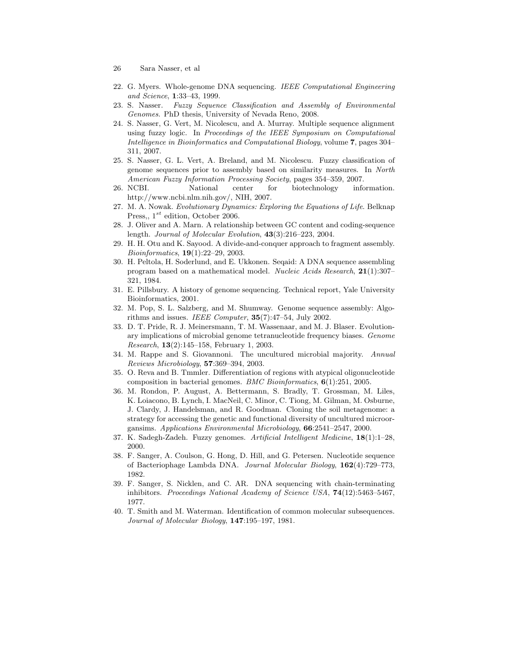- 26 Sara Nasser, et al
- 22. G. Myers. Whole-genome DNA sequencing. IEEE Computational Engineering and Science, 1:33–43, 1999.
- 23. S. Nasser. Fuzzy Sequence Classification and Assembly of Environmental Genomes. PhD thesis, University of Nevada Reno, 2008.
- 24. S. Nasser, G. Vert, M. Nicolescu, and A. Murray. Multiple sequence alignment using fuzzy logic. In Proceedings of the IEEE Symposium on Computational Intelligence in Bioinformatics and Computational Biology, volume 7, pages 304– 311, 2007.
- 25. S. Nasser, G. L. Vert, A. Breland, and M. Nicolescu. Fuzzy classification of genome sequences prior to assembly based on similarity measures. In North American Fuzzy Information Processing Society, pages 354–359, 2007.
- 26. NCBI. National center for biotechnology information. http://www.ncbi.nlm.nih.gov/, NIH, 2007.
- 27. M. A. Nowak. Evolutionary Dynamics: Exploring the Equations of Life. Belknap Press,,  $1^{st}$  edition, October 2006.
- 28. J. Oliver and A. Marn. A relationship between GC content and coding-sequence length. Journal of Molecular Evolution, 43(3):216–223, 2004.
- 29. H. H. Otu and K. Sayood. A divide-and-conquer approach to fragment assembly. Bioinformatics, 19(1):22–29, 2003.
- 30. H. Peltola, H. Soderlund, and E. Ukkonen. Seqaid: A DNA sequence assembling program based on a mathematical model. Nucleic Acids Research, 21(1):307– 321, 1984.
- 31. E. Pillsbury. A history of genome sequencing. Technical report, Yale University Bioinformatics, 2001.
- 32. M. Pop, S. L. Salzberg, and M. Shumway. Genome sequence assembly: Algorithms and issues. IEEE Computer, 35(7):47–54, July 2002.
- 33. D. T. Pride, R. J. Meinersmann, T. M. Wassenaar, and M. J. Blaser. Evolutionary implications of microbial genome tetranucleotide frequency biases. Genome Research, 13(2):145–158, February 1, 2003.
- 34. M. Rappe and S. Giovannoni. The uncultured microbial majority. Annual Reviews Microbiology, 57:369–394, 2003.
- 35. O. Reva and B. Tmmler. Differentiation of regions with atypical oligonucleotide composition in bacterial genomes. BMC Bioinformatics, 6(1):251, 2005.
- 36. M. Rondon, P. August, A. Bettermann, S. Bradly, T. Grossman, M. Liles, K. Loiacono, B. Lynch, I. MacNeil, C. Minor, C. Tiong, M. Gilman, M. Osburne, J. Clardy, J. Handelsman, and R. Goodman. Cloning the soil metagenome: a strategy for accessing the genetic and functional diversity of uncultured microorgansims. Applications Environmental Microbiology, 66:2541–2547, 2000.
- 37. K. Sadegh-Zadeh. Fuzzy genomes. Artificial Intelligent Medicine, 18(1):1–28, 2000.
- 38. F. Sanger, A. Coulson, G. Hong, D. Hill, and G. Petersen. Nucleotide sequence of Bacteriophage Lambda DNA. Journal Molecular Biology, 162(4):729–773, 1982.
- 39. F. Sanger, S. Nicklen, and C. AR. DNA sequencing with chain-terminating inhibitors. Proceedings National Academy of Science USA, 74(12):5463-5467, 1977.
- 40. T. Smith and M. Waterman. Identification of common molecular subsequences. Journal of Molecular Biology, 147:195–197, 1981.